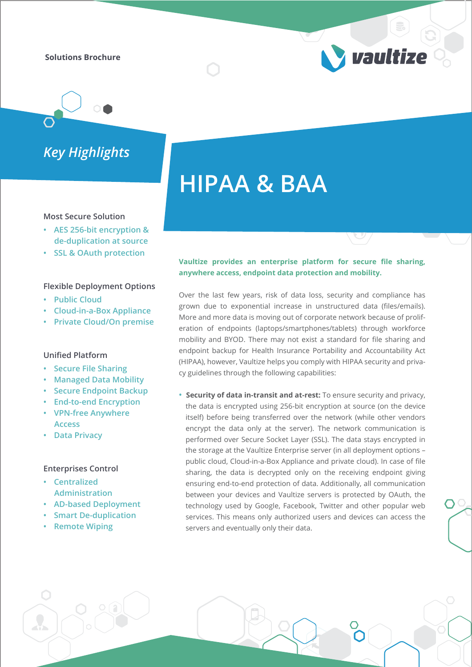## **Solutions Brochure**

*Key Highlights*

#### **Most Secure Solution**

- **AES 256-bit encryption & de-duplication at source**
- **SSL & OAuth protection**

### **Flexible Deployment Options**

- **Public Cloud**
- **Cloud-in-a-Box Appliance**
- **Private Cloud/On premise**

## **Unified Platform**

- **Secure File Sharing**
- **Managed Data Mobility**
- **Secure Endpoint Backup**
- **End-to-end Encryption**
- **VPN-free Anywhere**
- **Access**

## **• Data Privacy**

## **Enterprises Control**

- **Centralized Administration**
- **AD-based Deployment**
- **Smart De-duplication**
- **Remote Wiping**

# **Vaultize provides an enterprise platform for secure file sharing, anywhere access, endpoint data protection and mobility.**

vaultize

**HIPAA & BAA**

Over the last few years, risk of data loss, security and compliance has grown due to exponential increase in unstructured data (files/emails). More and more data is moving out of corporate network because of proliferation of endpoints (laptops/smartphones/tablets) through workforce mobility and BYOD. There may not exist a standard for file sharing and endpoint backup for Health Insurance Portability and Accountability Act (HIPAA), however, Vaultize helps you comply with HIPAA security and privacy guidelines through the following capabilities:

**• Security of data in-transit and at-rest:** To ensure security and privacy, the data is encrypted using 256-bit encryption at source (on the device itself) before being transferred over the network (while other vendors encrypt the data only at the server). The network communication is performed over Secure Socket Layer (SSL). The data stays encrypted in the storage at the Vaultize Enterprise server (in all deployment options – public cloud, Cloud-in-a-Box Appliance and private cloud). In case of file sharing, the data is decrypted only on the receiving endpoint giving ensuring end-to-end protection of data. Additionally, all communication between your devices and Vaultize servers is protected by OAuth, the technology used by Google, Facebook, Twitter and other popular web services. This means only authorized users and devices can access the servers and eventually only their data.

 $\bigcap$